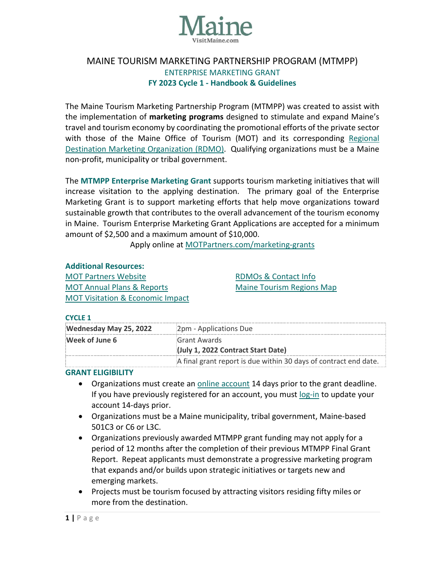

# MAINE TOURISM MARKETING PARTNERSHIP PROGRAM (MTMPP) ENTERPRISE MARKETING GRANT **FY 2023 Cycle 1 - Handbook & Guidelines**

The Maine Tourism Marketing Partnership Program (MTMPP) was created to assist with the implementation of **marketing programs** designed to stimulate and expand Maine's travel and tourism economy by coordinating the promotional efforts of the private sector with those of the Maine Office of Tourism (MOT) and its corresponding [Regional](https://motpartners.com/partner-organizations/)  [Destination Marketing Organization \(RDMO\).](https://motpartners.com/partner-organizations/) Qualifying organizations must be a Maine non-profit, municipality or tribal government.

The **MTMPP Enterprise Marketing Grant** supports tourism marketing initiatives that will increase visitation to the applying destination. The primary goal of the Enterprise Marketing Grant is to support marketing efforts that help move organizations toward sustainable growth that contributes to the overall advancement of the tourism economy in Maine. Tourism Enterprise Marketing Grant Applications are accepted for a minimum amount of \$2,500 and a maximum amount of \$10,000.

Apply online at [MOTPartners.com/marketing-grants](https://motpartners.com/marketing-grants/)

#### **Additional Resources:**

MOT [Partners Website](https://motpartners.com/) [MOT Annual Plans & Reports](https://motpartners.com/additional-resources/plans-reports/) [MOT Visitation & Economic Impact](https://motpartners.com/research/) RDMOs [& Contact](https://motpartners.com/partner-organizations/) Info [Maine Tourism Regions Map](https://motpartners.com/wp-content/uploads/2021/03/Maine_Regions.pdf)

#### **CYCLE 1**

| Wednesday May 25, 2022 | 2pm - Applications Due                                           |
|------------------------|------------------------------------------------------------------|
| Week of June 6         | Grant Awards                                                     |
|                        | (July 1, 2022 Contract Start Date)                               |
|                        | A final grant report is due within 30 days of contract end date. |

#### **GRANT ELIGIBILITY**

- Organizations must create an [online account](https://stateofmaine.force.com/DECDMAINE/s/self-registration?startURL=%2FDECDMAINE%2Fs%2Ffunding-requests%3Ft%3D1644356528180) 14 days prior to the grant deadline. If you have previously registered for an account, you must [log-in](https://stateofmaine.force.com/DECDMAINE/s/login/) to update your account 14-days prior.
- Organizations must be a Maine municipality, tribal government, Maine-based 501C3 or C6 or L3C.
- Organizations previously awarded MTMPP grant funding may not apply for a period of 12 months after the completion of their previous MTMPP Final Grant Report. Repeat applicants must demonstrate a progressive marketing program that expands and/or builds upon strategic initiatives or targets new and emerging markets.
- Projects must be tourism focused by attracting visitors residing fifty miles or more from the destination.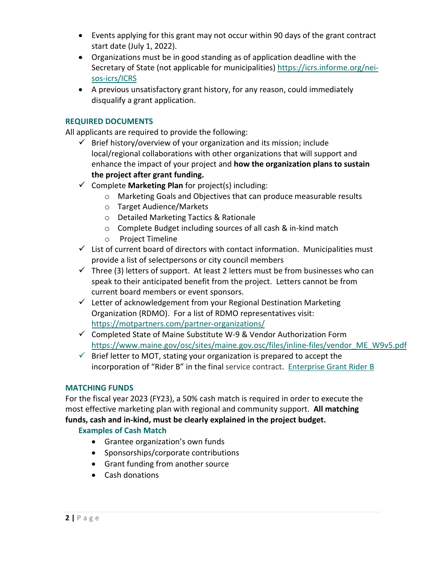- Events applying for this grant may not occur within 90 days of the grant contract start date (July 1, 2022).
- Organizations must be in good standing as of application deadline with the Secretary of State (not applicable for municipalities) [https://icrs.informe.org/nei](https://icrs.informe.org/nei-sos-icrs/ICRS)[sos-icrs/ICRS](https://icrs.informe.org/nei-sos-icrs/ICRS)
- A previous unsatisfactory grant history, for any reason, could immediately disqualify a grant application.

## **REQUIRED DOCUMENTS**

All applicants are required to provide the following:

- $\checkmark$  Brief history/overview of your organization and its mission; include local/regional collaborations with other organizations that will support and enhance the impact of your project and **how the organization plans to sustain the project after grant funding.**
- $\checkmark$  Complete **Marketing Plan** for project(s) including:
	- o Marketing Goals and Objectives that can produce measurable results
	- o Target Audience/Markets
	- o Detailed Marketing Tactics & Rationale
	- o Complete Budget including sources of all cash & in-kind match
	- o Project Timeline
- $\checkmark$  List of current board of directors with contact information. Municipalities must provide a list of selectpersons or city council members
- $\checkmark$  Three (3) letters of support. At least 2 letters must be from businesses who can speak to their anticipated benefit from the project. Letters cannot be from current board members or event sponsors.
- $\checkmark$  Letter of acknowledgement from your Regional Destination Marketing Organization (RDMO). For a list of RDMO representatives visit: <https://motpartners.com/partner-organizations/>
- $\checkmark$  Completed State of Maine Substitute W-9 & Vendor Authorization Form [https://www.maine.gov/osc/sites/maine.gov.osc/files/inline-files/vendor\\_ME\\_W9v5.pdf](https://www.maine.gov/osc/sites/maine.gov.osc/files/inline-files/vendor_ME_W9v5.pdf)
- $\checkmark$  Brief letter to MOT, stating your organization is prepared to accept the incorporation of "Rider B" in the final service contract. [Enterprise Grant Rider B](https://motpartners.com/wp-content/uploads/2021/11/Service-Contract-RiderB.pdf)

# **MATCHING FUNDS**

For the fiscal year 2023 (FY23), a 50% cash match is required in order to execute the most effective marketing plan with regional and community support. **All matching funds, cash and in-kind, must be clearly explained in the project budget.**

## **Examples of Cash Match**

- Grantee organization's own funds
- Sponsorships/corporate contributions
- Grant funding from another source
- Cash donations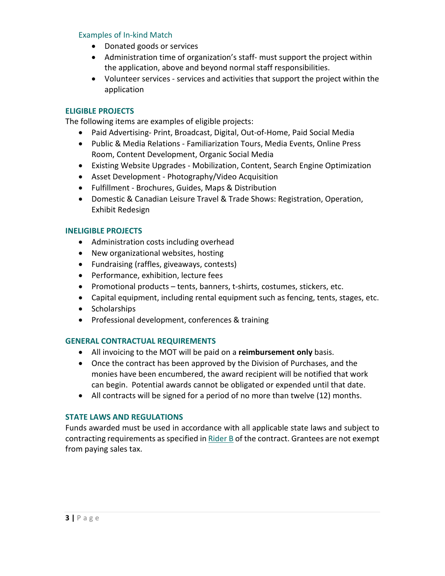#### Examples of In-kind Match

- Donated goods or services
- Administration time of organization's staff- must support the project within the application, above and beyond normal staff responsibilities.
- Volunteer services services and activities that support the project within the application

### **ELIGIBLE PROJECTS**

The following items are examples of eligible projects:

- Paid Advertising- Print, Broadcast, Digital, Out-of-Home, Paid Social Media
- Public & Media Relations Familiarization Tours, Media Events, Online Press Room, Content Development, Organic Social Media
- Existing Website Upgrades Mobilization, Content, Search Engine Optimization
- Asset Development Photography/Video Acquisition
- Fulfillment Brochures, Guides, Maps & Distribution
- Domestic & Canadian Leisure Travel & Trade Shows: Registration, Operation, Exhibit Redesign

### **INELIGIBLE PROJECTS**

- Administration costs including overhead
- New organizational websites, hosting
- Fundraising (raffles, giveaways, contests)
- Performance, exhibition, lecture fees
- Promotional products tents, banners, t-shirts, costumes, stickers, etc.
- Capital equipment, including rental equipment such as fencing, tents, stages, etc.
- Scholarships
- Professional development, conferences & training

#### **GENERAL CONTRACTUAL REQUIREMENTS**

- All invoicing to the MOT will be paid on a **reimbursement only** basis.
- Once the contract has been approved by the Division of Purchases, and the monies have been encumbered, the award recipient will be notified that work can begin. Potential awards cannot be obligated or expended until that date.
- All contracts will be signed for a period of no more than twelve (12) months.

#### **STATE LAWS AND REGULATIONS**

Funds awarded must be used in accordance with all applicable state laws and subject to contracting requirements as specified in  $Rider B$  of the contract. Grantees are not exempt from paying sales tax.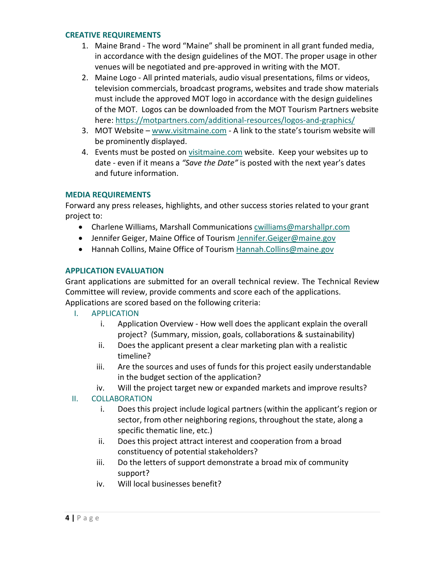#### **CREATIVE REQUIREMENTS**

- 1. Maine Brand The word "Maine" shall be prominent in all grant funded media, in accordance with the design guidelines of the MOT. The proper usage in other venues will be negotiated and pre-approved in writing with the MOT.
- 2. Maine Logo All printed materials, audio visual presentations, films or videos, television commercials, broadcast programs, websites and trade show materials must include the approved MOT logo in accordance with the design guidelines of the MOT. Logos can be downloaded from the MOT Tourism Partners website here:<https://motpartners.com/additional-resources/logos-and-graphics/>
- 3. MOT Website [www.visitmaine.com](http://www.visitmaine.com/) A link to the state's tourism website will be prominently displayed.
- 4. Events must be posted on [visitmaine.com](https://visitmaine.com/) website. Keep your websites up to date - even if it means a *"Save the Date"* is posted with the next year's dates and future information.

### **MEDIA REQUIREMENTS**

Forward any press releases, highlights, and other success stories related to your grant project to:

- Charlene Williams, Marshall Communications [cwilliams@marshallpr.com](mailto:cwilliams@marshallpr.com)
- Jennifer Geiger, Maine Office of Tourism [Jennifer.Geiger@maine.gov](mailto:Jennifer.Geiger@maine.gov)
- Hannah Collins, Maine Office of Tourism [Hannah.Collins@maine.gov](mailto:Hannah.Collins@maine.gov)

### **APPLICATION EVALUATION**

Grant applications are submitted for an overall technical review. The Technical Review Committee will review, provide comments and score each of the applications. Applications are scored based on the following criteria:

#### I. APPLICATION

- i. Application Overview How well does the applicant explain the overall project? (Summary, mission, goals, collaborations & sustainability)
- ii. Does the applicant present a clear marketing plan with a realistic timeline?
- iii. Are the sources and uses of funds for this project easily understandable in the budget section of the application?
- iv. Will the project target new or expanded markets and improve results?

## II. COLLABORATION

- i. Does this project include logical partners (within the applicant's region or sector, from other neighboring regions, throughout the state, along a specific thematic line, etc.)
- ii. Does this project attract interest and cooperation from a broad constituency of potential stakeholders?
- iii. Do the letters of support demonstrate a broad mix of community support?
- iv. Will local businesses benefit?